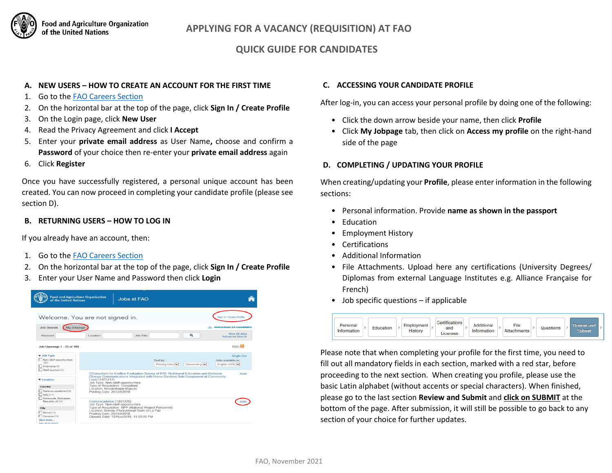

# **QUICK GUIDE FOR CANDIDATES**

#### **A. NEW USERS – HOW TO CREATE AN ACCOUNT FOR THE FIRST TIME**

- 1. Go to the [FAO Careers Section](https://jobs.fao.org/careersection/fao_external/jobsearch.ftl?lang=en)
- 2. On the horizontal bar at the top of the page, click **Sign In / Create Profile**
- 3. On the Login page, click **New User**
- 4. Read the Privacy Agreement and click **I Accept**
- 5. Enter your **private email address** as User Name**,** choose and confirm a **Password** of your choice then re-enter your **private email address** again
- 6. Click **Register**

Once you have successfully registered, a personal unique account has been created. You can now proceed in completing your candidate profile (please see section D).

## **B. RETURNING USERS – HOW TO LOG IN**

If you already have an account, then:

- 1. Go to the [FAO Careers Section](https://jobs.fao.org/careersection/fao_external/jobsearch.ftl?lang=en)
- 2. On the horizontal bar at the top of the page, click **Sign In / Create Profile**
- 3. Enter your User Name and Password then click **Login**

| <b>Food and Agriculture Organization</b><br>of the United Nations                                                                                                                                                                                                                                              |                                                                                                                                                                                                                                                                                                                                       | Jobs at FAO                                                                                                                                                                              |                           |              |                                                      |
|----------------------------------------------------------------------------------------------------------------------------------------------------------------------------------------------------------------------------------------------------------------------------------------------------------------|---------------------------------------------------------------------------------------------------------------------------------------------------------------------------------------------------------------------------------------------------------------------------------------------------------------------------------------|------------------------------------------------------------------------------------------------------------------------------------------------------------------------------------------|---------------------------|--------------|------------------------------------------------------|
| Welcome. You are not signed in.                                                                                                                                                                                                                                                                                |                                                                                                                                                                                                                                                                                                                                       |                                                                                                                                                                                          |                           |              | Sign In / Create Profile                             |
| Job Search<br>My Jobpage                                                                                                                                                                                                                                                                                       |                                                                                                                                                                                                                                                                                                                                       |                                                                                                                                                                                          |                           |              | Instructions for candidates                          |
| Keyword                                                                                                                                                                                                                                                                                                        | Location                                                                                                                                                                                                                                                                                                                              | Job Title                                                                                                                                                                                |                           | Q            | <b>View All Jobs</b><br><b>Advanced Search</b>       |
| Job Openings 1 - 25 of 103                                                                                                                                                                                                                                                                                     |                                                                                                                                                                                                                                                                                                                                       |                                                                                                                                                                                          |                           |              | $RSS: \overline{2}$                                  |
| <b>v</b> Job Type<br>Non-staff opportunities<br>(92)<br>$ $ Internahip (6)<br>Staff position (5)<br><b>VI</b> ocation<br>Country<br>Various Locations (29)<br>$l$ Italy (17)<br>Venezuela, Bolivarian<br>Republic of (16)<br>City<br>$\Box$ Rome (17)<br>$\Box$ Caracas (16)<br>Show more<br>See all Incations |                                                                                                                                                                                                                                                                                                                                       |                                                                                                                                                                                          | Sort by<br>Posting Date V | Descending V | Single-line<br>Jobs available in:<br>English (103) V |
|                                                                                                                                                                                                                                                                                                                | CConsultant for Endline Evaluation Survey of R16: Nutritional Education and Behavior<br>Apply<br>Change Communications Integrated with Home Gardens Sub-Component at Community<br>Level (1801217)<br>Job Type: Non-staff opportunities<br>Type of Requisition: Consultant<br>Location: Mozambique-Maputo<br>Posting Date: 29/Oct/2018 |                                                                                                                                                                                          |                           |              |                                                      |
|                                                                                                                                                                                                                                                                                                                | Comunicador(a) (1801225)<br>Posting Date: 29/Oct/2018                                                                                                                                                                                                                                                                                 | Job Type: Non-staff opportunities<br>Type of Requisition: NPP (National Project Personnel)<br>Location: Bolivia, Plurinational State of La Paz<br>Closure Date: 12/Nov/2018, 11:59:00 PM |                           |              |                                                      |

#### **C. ACCESSING YOUR CANDIDATE PROFILE**

After log-in, you can access your personal profile by doing one of the following:

- Click the down arrow beside your name, then click **Profile**
- Click **My Jobpage** tab, then click on **Access my profile** on the right-hand side of the page

## **D. COMPLETING / UPDATING YOUR PROFILE**

When creating/updating your **Profile**, please enter information in the following sections:

- Personal information. Provide **name as shown in the passport**
- **Education**
- Employment History
- Certifications
- Additional Information
- File Attachments. Upload here any certifications (University Degrees/ Diplomas from external Language Institutes e.g. Alliance Française for French)
- Job specific questions if applicable



Please note that when completing your profile for the first time, you need to fill out all mandatory fields in each section, marked with a red star, before proceeding to the next section. When creating you profile, please use the basic Latin alphabet (without accents or special characters). When finished, please go to the last section **Review and Submit** and **click on SUBMIT** at the bottom of the page. After submission, it will still be possible to go back to any section of your choice for further updates.